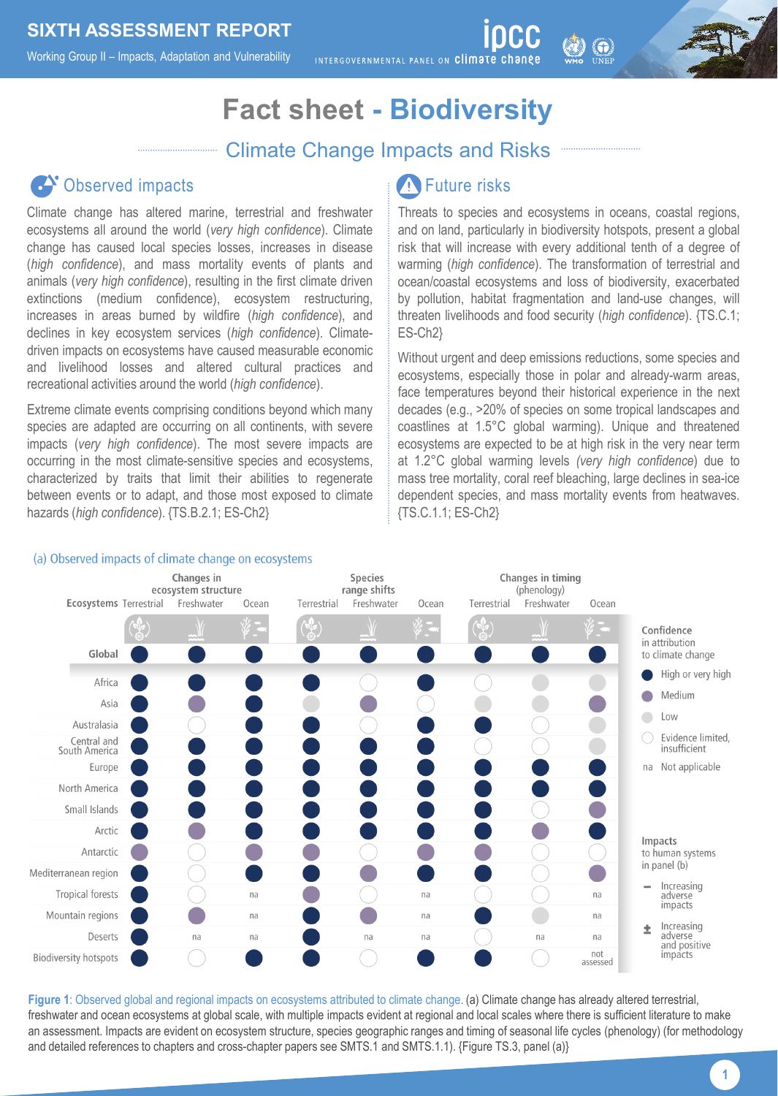Working Group II – Impacts, Adaptation and Vulnerability

INTERGOVERNMENTAL PANEL ON Climate change

# **Fact sheet - Biodiversity**

#### Climate Change Impacts and Risks

## Observed impacts

Climate change has altered marine, terrestrial and freshwater ecosystems all around the world (*very high confidence*). Climate change has caused local species losses, increases in disease (*high confidence*), and mass mortality events of plants and animals (*very high confidence*), resulting in the first climate driven extinctions (medium confidence), ecosystem restructuring, increases in areas burned by wildfire (*high confidence*), and declines in key ecosystem services (*high confidence*). Climatedriven impacts on ecosystems have caused measurable economic and livelihood losses and altered cultural practices and recreational activities around the world (*high confidence*).

Extreme climate events comprising conditions beyond which many species are adapted are occurring on all continents, with severe impacts (*very high confidence*). The most severe impacts are occurring in the most climate-sensitive species and ecosystems, characterized by traits that limit their abilities to regenerate between events or to adapt, and those most exposed to climate hazards (*high confidence*). {TS.B.2.1; ES-Ch2}

#### W Future risks

Threats to species and ecosystems in oceans, coastal regions, and on land, particularly in biodiversity hotspots, present a global risk that will increase with every additional tenth of a degree of warming (*high confidence*). The transformation of terrestrial and ocean/coastal ecosystems and loss of biodiversity, exacerbated by pollution, habitat fragmentation and land-use changes, will threaten livelihoods and food security (*high confidence*). {TS.C.1; ES-Ch2}

 $\bigcirc$ 

Without urgent and deep emissions reductions, some species and ecosystems, especially those in polar and already-warm areas, face temperatures beyond their historical experience in the next decades (e.g., >20% of species on some tropical landscapes and coastlines at 1.5°C global warming). Unique and threatened ecosystems are expected to be at high risk in the very near term at 1.2°C global warming levels *(very high confidence*) due to mass tree mortality, coral reef bleaching, large declines in sea-ice dependent species, and mass mortality events from heatwaves. {TS.C.1.1; ES-Ch2}



**Figure 1**: Observed global and regional impacts on ecosystems attributed to climate change. (a) Climate change has already altered terrestrial, freshwater and ocean ecosystems at global scale, with multiple impacts evident at regional and local scales where there is sufficient literature to make an assessment. Impacts are evident on ecosystem structure, species geographic ranges and timing of seasonal life cycles (phenology) (for methodology and detailed references to chapters and cross-chapter papers see SMTS.1 and SMTS.1.1). {Figure TS.3, panel (a)}

#### (a) Observed impacts of climate change on ecosystems

**1**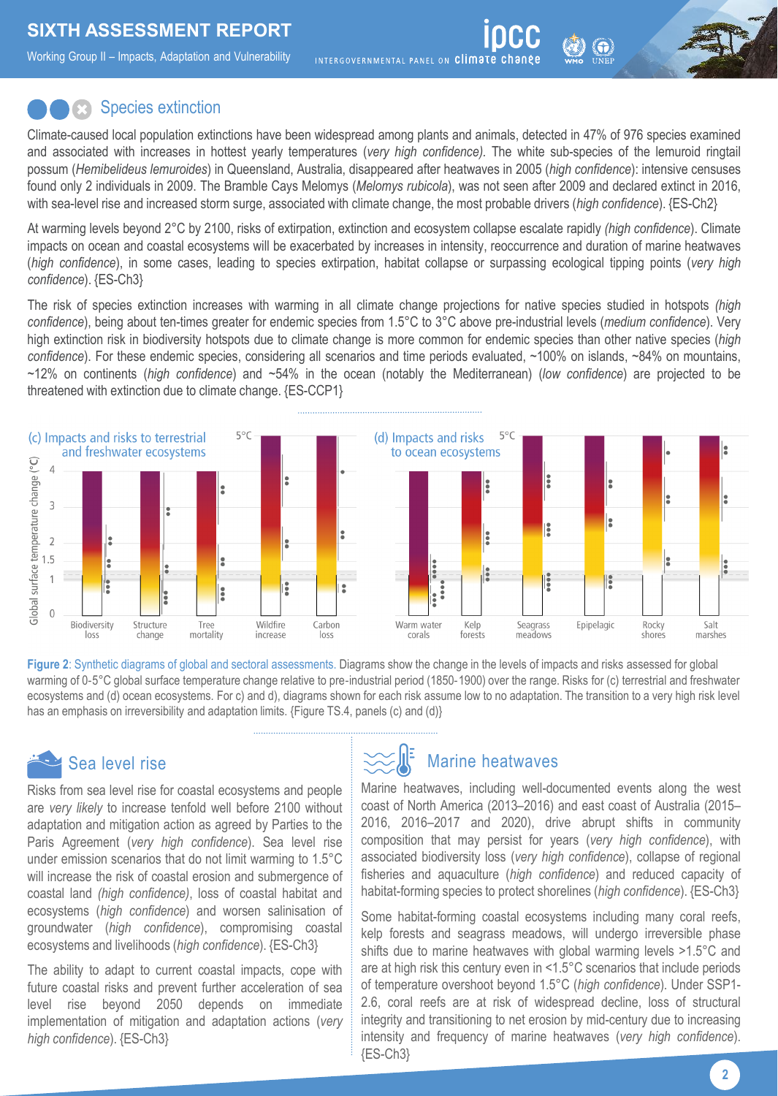Working Group II – Impacts, Adaptation and Vulnerability

INTERGOVERNMENTAL PANEL ON Climate change

#### **Species extinction**

Climate-caused local population extinctions have been widespread among plants and animals, detected in 47% of 976 species examined and associated with increases in hottest yearly temperatures (*very high confidence).* The white sub-species of the lemuroid ringtail possum (*Hemibelideus lemuroides*) in Queensland, Australia, disappeared after heatwaves in 2005 (*high confidence*): intensive censuses found only 2 individuals in 2009. The Bramble Cays Melomys (*Melomys rubicola*), was not seen after 2009 and declared extinct in 2016, with sea-level rise and increased storm surge, associated with climate change, the most probable drivers (*high confidence*). {ES-Ch2}

At warming levels beyond 2°C by 2100, risks of extirpation, extinction and ecosystem collapse escalate rapidly *(high confidence*). Climate impacts on ocean and coastal ecosystems will be exacerbated by increases in intensity, reoccurrence and duration of marine heatwaves (*high confidence*), in some cases, leading to species extirpation, habitat collapse or surpassing ecological tipping points (*very high confidence*). {ES-Ch3}

The risk of species extinction increases with warming in all climate change projections for native species studied in hotspots *(high confidence*), being about ten-times greater for endemic species from 1.5°C to 3°C above pre-industrial levels (*medium confidence*). Very high extinction risk in biodiversity hotspots due to climate change is more common for endemic species than other native species (*high confidence*). For these endemic species, considering all scenarios and time periods evaluated, ~100% on islands, ~84% on mountains, ~12% on continents (*high confidence*) and ~54% in the ocean (notably the Mediterranean) (*low confidence*) are projected to be threatened with extinction due to climate change. {ES-CCP1}



**Figure 2**: Synthetic diagrams of global and sectoral assessments. Diagrams show the change in the levels of impacts and risks assessed for global warming of 0-5°C global surface temperature change relative to pre-industrial period (1850-1900) over the range. Risks for (c) terrestrial and freshwater ecosystems and (d) ocean ecosystems. For c) and d), diagrams shown for each risk assume low to no adaptation. The transition to a very high risk level has an emphasis on irreversibility and adaptation limits. {Figure TS.4, panels (c) and (d)}

# Sea level rise

Risks from sea level rise for coastal ecosystems and people are *very likely* to increase tenfold well before 2100 without adaptation and mitigation action as agreed by Parties to the Paris Agreement (*very high confidence*). Sea level rise under emission scenarios that do not limit warming to 1.5°C will increase the risk of coastal erosion and submergence of coastal land *(high confidence)*, loss of coastal habitat and ecosystems (*high confidence*) and worsen salinisation of groundwater (*high confidence*), compromising coastal ecosystems and livelihoods (*high confidence*). {ES-Ch3}

The ability to adapt to current coastal impacts, cope with future coastal risks and prevent further acceleration of sea level rise beyond 2050 depends on immediate implementation of mitigation and adaptation actions (*very high confidence*). {ES-Ch3}

### Marine heatwaves

Marine heatwaves, including well-documented events along the west coast of North America (2013–2016) and east coast of Australia (2015– 2016, 2016–2017 and 2020), drive abrupt shifts in community composition that may persist for years (*very high confidence*), with associated biodiversity loss (*very high confidence*), collapse of regional fisheries and aquaculture (*high confidence*) and reduced capacity of habitat-forming species to protect shorelines (*high confidence*). {ES-Ch3}

Some habitat-forming coastal ecosystems including many coral reefs, kelp forests and seagrass meadows, will undergo irreversible phase shifts due to marine heatwaves with global warming levels >1.5°C and are at high risk this century even in <1.5°C scenarios that include periods of temperature overshoot beyond 1.5°C (*high confidence*). Under SSP1- 2.6, coral reefs are at risk of widespread decline, loss of structural integrity and transitioning to net erosion by mid-century due to increasing intensity and frequency of marine heatwaves (*very high confidence*). {ES-Ch3}

**2**